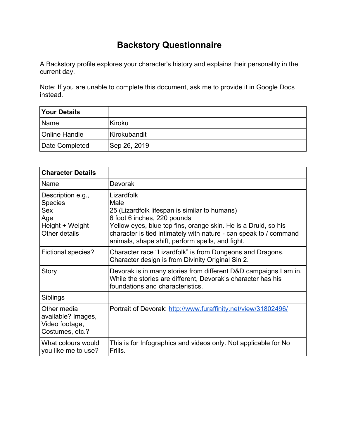# **Backstory Questionnaire**

A Backstory profile explores your character's history and explains their personality in the current day.

Note: If you are unable to complete this document, ask me to provide it in Google Docs instead.

| <b>Your Details</b>  |                |
|----------------------|----------------|
| <b>Name</b>          | Kiroku         |
| <b>Online Handle</b> | l Kirokubandit |
| Date Completed       | Sep 26, 2019   |

| <b>Character Details</b>                                                                     |                                                                                                                                                                                                                                                                                               |
|----------------------------------------------------------------------------------------------|-----------------------------------------------------------------------------------------------------------------------------------------------------------------------------------------------------------------------------------------------------------------------------------------------|
| Name                                                                                         | <b>Devorak</b>                                                                                                                                                                                                                                                                                |
| Description e.g.,<br><b>Species</b><br><b>Sex</b><br>Age<br>Height + Weight<br>Other details | Lizardfolk<br>Male<br>25 (Lizardfolk lifespan is similar to humans)<br>6 foot 6 inches, 220 pounds<br>Yellow eyes, blue top fins, orange skin. He is a Druid, so his<br>character is tied intimately with nature - can speak to / command<br>animals, shape shift, perform spells, and fight. |
| <b>Fictional species?</b>                                                                    | Character race "Lizardfolk" is from Dungeons and Dragons.<br>Character design is from Divinity Original Sin 2.                                                                                                                                                                                |
| Story                                                                                        | Devorak is in many stories from different D&D campaigns I am in.<br>While the stories are different, Devorak's character has his<br>foundations and characteristics.                                                                                                                          |
| Siblings                                                                                     |                                                                                                                                                                                                                                                                                               |
| Other media<br>available? Images,<br>Video footage,<br>Costumes, etc.?                       | Portrait of Devorak: http://www.furaffinity.net/view/31802496/                                                                                                                                                                                                                                |
| What colours would<br>you like me to use?                                                    | This is for Infographics and videos only. Not applicable for No<br>Frills.                                                                                                                                                                                                                    |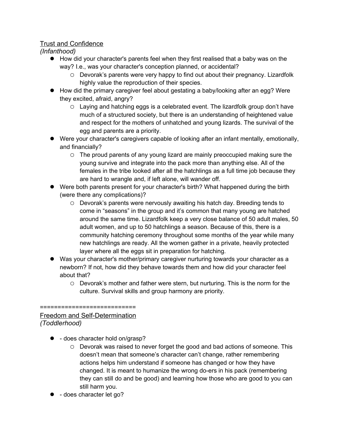## Trust and Confidence

*(Infanthood)*

- How did your character's parents feel when they first realised that a baby was on the way? I.e., was your character's conception planned, or accidental?
	- Devorak's parents were very happy to find out about their pregnancy. Lizardfolk highly value the reproduction of their species.
- How did the primary caregiver feel about gestating a baby/looking after an egg? Were they excited, afraid, angry?
	- Laying and hatching eggs is a celebrated event. The lizardfolk group don't have much of a structured society, but there is an understanding of heightened value and respect for the mothers of unhatched and young lizards. The survival of the egg and parents are a priority.
- Were your character's caregivers capable of looking after an infant mentally, emotionally, and financially?
	- The proud parents of any young lizard are mainly preoccupied making sure the young survive and integrate into the pack more than anything else. All of the females in the tribe looked after all the hatchlings as a full time job because they are hard to wrangle and, if left alone, will wander off.
- Were both parents present for your character's birth? What happened during the birth (were there any complications)?
	- Devorak's parents were nervously awaiting his hatch day. Breeding tends to come in "seasons" in the group and it's common that many young are hatched around the same time. Lizardfolk keep a very close balance of 50 adult males, 50 adult women, and up to 50 hatchlings a season. Because of this, there is a community hatching ceremony throughout some months of the year while many new hatchlings are ready. All the women gather in a private, heavily protected layer where all the eggs sit in preparation for hatching.
- Was your character's mother/primary caregiver nurturing towards your character as a newborn? If not, how did they behave towards them and how did your character feel about that?
	- Devorak's mother and father were stern, but nurturing. This is the norm for the culture. Survival skills and group harmony are priority.

## ===========================

### Freedom and Self-Determination *(Toddlerhood)*

- - does character hold on/grasp?
	- Devorak was raised to never forget the good and bad actions of someone. This doesn't mean that someone's character can't change, rather remembering actions helps him understand if someone has changed or how they have changed. It is meant to humanize the wrong do-ers in his pack (remembering they can still do and be good) and learning how those who are good to you can still harm you.
- $\bullet$  does character let go?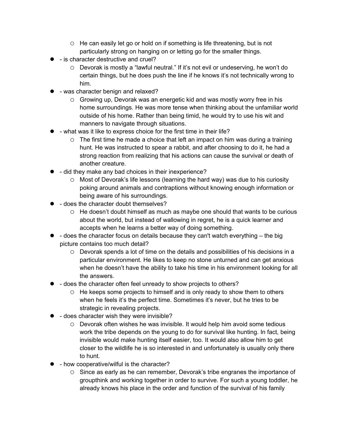- $\circ$  He can easily let go or hold on if something is life threatening, but is not particularly strong on hanging on or letting go for the smaller things.
- - is character destructive and cruel?
	- Devorak is mostly a "lawful neutral." If it's not evil or undeserving, he won't do certain things, but he does push the line if he knows it's not technically wrong to him.
- was character benign and relaxed?
	- Growing up, Devorak was an energetic kid and was mostly worry free in his home surroundings. He was more tense when thinking about the unfamiliar world outside of his home. Rather than being timid, he would try to use his wit and manners to navigate through situations.
- $\bullet$  what was it like to express choice for the first time in their life?
	- $\circ$  The first time he made a choice that left an impact on him was during a training hunt. He was instructed to spear a rabbit, and after choosing to do it, he had a strong reaction from realizing that his actions can cause the survival or death of another creature.
- $\bullet$  did they make any bad choices in their inexperience?
	- Most of Devorak's life lessons (learning the hard way) was due to his curiosity poking around animals and contraptions without knowing enough information or being aware of his surroundings.
- **1** does the character doubt themselves?
	- He doesn't doubt himself as much as maybe one should that wants to be curious about the world, but instead of wallowing in regret, he is a quick learner and accepts when he learns a better way of doing something.
- $\bullet$  does the character focus on details because they can't watch everything  $-$  the big picture contains too much detail?
	- $\circ$  Devorak spends a lot of time on the details and possibilities of his decisions in a particular environment. He likes to keep no stone unturned and can get anxious when he doesn't have the ability to take his time in his environment looking for all the answers.
- does the character often feel unready to show projects to others?
	- He keeps some projects to himself and is only ready to show them to others when he feels it's the perfect time. Sometimes it's never, but he tries to be strategic in revealing projects.
- $\bullet$  does character wish they were invisible?
	- Devorak often wishes he was invisible. It would help him avoid some tedious work the tribe depends on the young to do for survival like hunting. In fact, being invisible would make hunting itself easier, too. It would also allow him to get closer to the wildlife he is so interested in and unfortunately is usually only there to hunt.
- $\bullet$  how cooperative/wilful is the character?
	- $\circ$  Since as early as he can remember, Devorak's tribe engranes the importance of groupthink and working together in order to survive. For such a young toddler, he already knows his place in the order and function of the survival of his family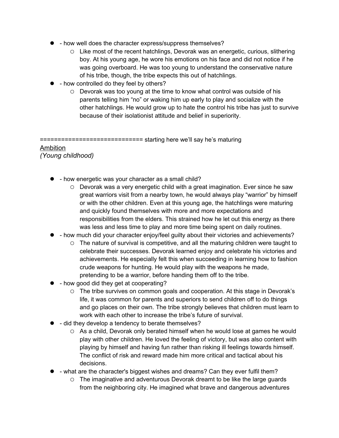- how well does the character express/suppress themselves?
	- Like most of the recent hatchlings, Devorak was an energetic, curious, slithering boy. At his young age, he wore his emotions on his face and did not notice if he was going overboard. He was too young to understand the conservative nature of his tribe, though, the tribe expects this out of hatchlings.
- how controlled do they feel by others?
	- $\circ$  Devorak was too young at the time to know what control was outside of his parents telling him "no" or waking him up early to play and socialize with the other hatchlings. He would grow up to hate the control his tribe has just to survive because of their isolationist attitude and belief in superiority.

============================= starting here we'll say he's maturing

#### Ambition *(Young childhood)*

- how energetic was your character as a small child?
	- $\circ$  Devorak was a very energetic child with a great imagination. Ever since he saw great warriors visit from a nearby town, he would always play "warrior" by himself or with the other children. Even at this young age, the hatchlings were maturing and quickly found themselves with more and more expectations and responsibilities from the elders. This strained how he let out this energy as there was less and less time to play and more time being spent on daily routines.
- - how much did your character enjoy/feel guilty about their victories and achievements?
	- The nature of survival is competitive, and all the maturing children were taught to celebrate their successes. Devorak learned enjoy and celebrate his victories and achievements. He especially felt this when succeeding in learning how to fashion crude weapons for hunting. He would play with the weapons he made, pretending to be a warrior, before handing them off to the tribe.
- how good did they get at cooperating?
	- The tribe survives on common goals and cooperation. At this stage in Devorak's life, it was common for parents and superiors to send children off to do things and go places on their own. The tribe strongly believes that children must learn to work with each other to increase the tribe's future of survival.
- $\bullet$  did they develop a tendency to berate themselves?
	- As a child, Devorak only berated himself when he would lose at games he would play with other children. He loved the feeling of victory, but was also content with playing by himself and having fun rather than risking ill feelings towards himself. The conflict of risk and reward made him more critical and tactical about his decisions.
- what are the character's biggest wishes and dreams? Can they ever fulfil them?
	- The imaginative and adventurous Devorak dreamt to be like the large guards from the neighboring city. He imagined what brave and dangerous adventures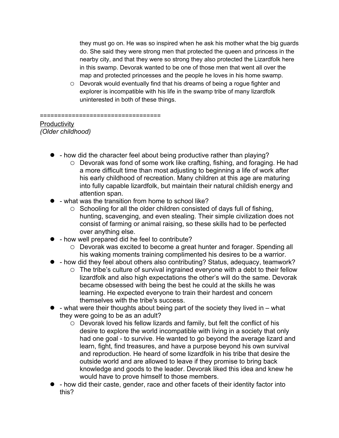they must go on. He was so inspired when he ask his mother what the big guards do. She said they were strong men that protected the queen and princess in the nearby city, and that they were so strong they also protected the Lizardfolk here in this swamp. Devorak wanted to be one of those men that went all over the map and protected princesses and the people he loves in his home swamp.

 Devorak would eventually find that his dreams of being a rogue fighter and explorer is incompatible with his life in the swamp tribe of many lizardfolk uninterested in both of these things.

#### ==================================

### **Productivity** *(Older childhood)*

- - how did the character feel about being productive rather than playing?
	- Devorak was fond of some work like crafting, fishing, and foraging. He had a more difficult time than most adjusting to beginning a life of work after his early childhood of recreation. Many children at this age are maturing into fully capable lizardfolk, but maintain their natural childish energy and attention span.
- what was the transition from home to school like?
	- $\circ$  Schooling for all the older children consisted of days full of fishing, hunting, scavenging, and even stealing. Their simple civilization does not consist of farming or animal raising, so these skills had to be perfected over anything else.
- how well prepared did he feel to contribute?
	- Devorak was excited to become a great hunter and forager. Spending all his waking moments training complimented his desires to be a warrior.
- - how did they feel about others also contributing? Status, adequacy, teamwork?
	- The tribe's culture of survival ingrained everyone with a debt to their fellow lizardfolk and also high expectations the other's will do the same. Devorak became obsessed with being the best he could at the skills he was learning. He expected everyone to train their hardest and concern themselves with the tribe's success.
- what were their thoughts about being part of the society they lived in what they were going to be as an adult?
	- Devorak loved his fellow lizards and family, but felt the conflict of his desire to explore the world incompatible with living in a society that only had one goal - to survive. He wanted to go beyond the average lizard and learn, fight, find treasures, and have a purpose beyond his own survival and reproduction. He heard of some lizardfolk in his tribe that desire the outside world and are allowed to leave if they promise to bring back knowledge and goods to the leader. Devorak liked this idea and knew he would have to prove himself to those members.
- how did their caste, gender, race and other facets of their identity factor into this?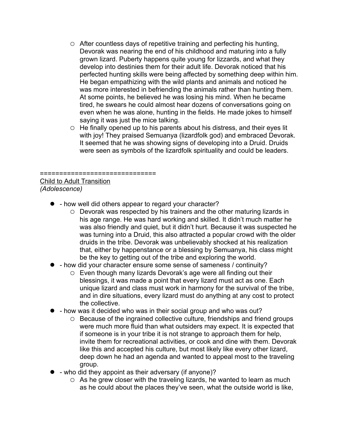- After countless days of repetitive training and perfecting his hunting, Devorak was nearing the end of his childhood and maturing into a fully grown lizard. Puberty happens quite young for lizzards, and what they develop into destinies them for their adult life. Devorak noticed that his perfected hunting skills were being affected by something deep within him. He began empathizing with the wild plants and animals and noticed he was more interested in befriending the animals rather than hunting them. At some points, he believed he was losing his mind. When he became tired, he swears he could almost hear dozens of conversations going on even when he was alone, hunting in the fields. He made jokes to himself saying it was just the mice talking.
- He finally opened up to his parents about his distress, and their eyes lit with joy! They praised Semuanya (lizardfolk god) and embraced Devorak. It seemed that he was showing signs of developing into a Druid. Druids were seen as symbols of the lizardfolk spirituality and could be leaders.

# ============================== Child to Adult Transition

*(Adolescence)*

- how well did others appear to regard your character?
	- Devorak was respected by his trainers and the other maturing lizards in his age range. He was hard working and skilled. It didn't much matter he was also friendly and quiet, but it didn't hurt. Because it was suspected he was turning into a Druid, this also attracted a popular crowd with the older druids in the tribe. Devorak was unbelievably shocked at his realization that, either by happenstance or a blessing by Semuanya, his class might be the key to getting out of the tribe and exploring the world.
- - how did your character ensure some sense of sameness / continuity?
	- Even though many lizards Devorak's age were all finding out their blessings, it was made a point that every lizard must act as one. Each unique lizard and class must work in harmony for the survival of the tribe, and in dire situations, every lizard must do anything at any cost to protect the collective.
- how was it decided who was in their social group and who was out?
	- Because of the ingrained collective culture, friendships and friend groups were much more fluid than what outsiders may expect. It is expected that if someone is in your tribe it is not strange to approach them for help, invite them for recreational activities, or cook and dine with them. Devorak like this and accepted his culture, but most likely like every other lizard, deep down he had an agenda and wanted to appeal most to the traveling group.
- who did they appoint as their adversary (if anyone)?
	- As he grew closer with the traveling lizards, he wanted to learn as much as he could about the places they've seen, what the outside world is like,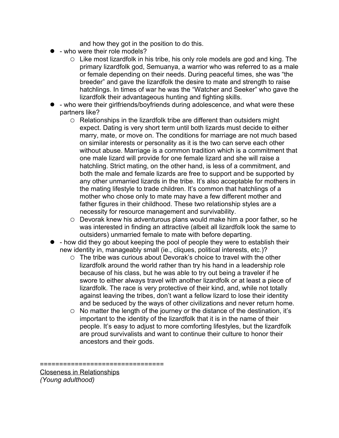and how they got in the position to do this.

- who were their role models?
	- $\circ$  Like most lizardfolk in his tribe, his only role models are god and king. The primary lizardfolk god, Semuanya, a warrior who was referred to as a male or female depending on their needs. During peaceful times, she was "the breeder" and gave the lizardfolk the desire to mate and strength to raise hatchlings. In times of war he was the "Watcher and Seeker" who gave the lizardfolk their advantageous hunting and fighting skills.
- who were their girlfriends/boyfriends during adolescence, and what were these partners like?
	- Relationships in the lizardfolk tribe are different than outsiders might expect. Dating is very short term until both lizards must decide to either marry, mate, or move on. The conditions for marriage are not much based on similar interests or personality as it is the two can serve each other without abuse. Marriage is a common tradition which is a commitment that one male lizard will provide for one female lizard and she will raise a hatchling. Strict mating, on the other hand, is less of a commitment, and both the male and female lizards are free to support and be supported by any other unmarried lizards in the tribe. It's also acceptable for mothers in the mating lifestyle to trade children. It's common that hatchlings of a mother who chose only to mate may have a few different mother and father figures in their childhood. These two relationship styles are a necessity for resource management and survivability.
	- Devorak knew his adventurous plans would make him a poor father, so he was interested in finding an attractive (albeit all lizardfolk look the same to outsiders) unmarried female to mate with before departing.
- how did they go about keeping the pool of people they were to establish their new identity in, manageably small (ie., cliques, political interests, etc.)?
	- $\circ$  The tribe was curious about Devorak's choice to travel with the other lizardfolk around the world rather than try his hand in a leadership role because of his class, but he was able to try out being a traveler if he swore to either always travel with another lizardfolk or at least a piece of lizardfolk. The race is very protective of their kind, and, while not totally against leaving the tribes, don't want a fellow lizard to lose their identity and be seduced by the ways of other civilizations and never return home.
	- $\circ$  No matter the length of the journey or the distance of the destination, it's important to the identity of the lizardfolk that it is in the name of their people. It's easy to adjust to more comforting lifestyles, but the lizardfolk are proud survivalists and want to continue their culture to honor their ancestors and their gods.

======================

Closeness in Relationships *(Young adulthood)*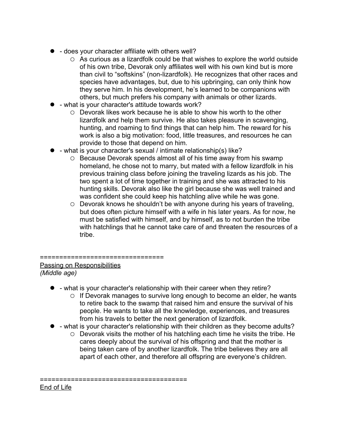- does your character affiliate with others well?
	- As curious as a lizardfolk could be that wishes to explore the world outside of his own tribe, Devorak only affiliates well with his own kind but is more than civil to "softskins" (non-lizardfolk). He recognizes that other races and species have advantages, but, due to his upbringing, can only think how they serve him. In his development, he's learned to be companions with others, but much prefers his company with animals or other lizards.
- what is your character's attitude towards work?
	- Devorak likes work because he is able to show his worth to the other lizardfolk and help them survive. He also takes pleasure in scavenging, hunting, and roaming to find things that can help him. The reward for his work is also a big motivation: food, little treasures, and resources he can provide to those that depend on him.
- what is your character's sexual / intimate relationship(s) like?
	- Because Devorak spends almost all of his time away from his swamp homeland, he chose not to marry, but mated with a fellow lizardfolk in his previous training class before joining the traveling lizards as his job. The two spent a lot of time together in training and she was attracted to his hunting skills. Devorak also like the girl because she was well trained and was confident she could keep his hatchling alive while he was gone.
	- Devorak knows he shouldn't be with anyone during his years of traveling, but does often picture himself with a wife in his later years. As for now, he must be satisfied with himself, and by himself, as to not burden the tribe with hatchlings that he cannot take care of and threaten the resources of a tribe.

### ================================ Passing on Responsibilities *(Middle age)*

- what is your character's relationship with their career when they retire?
	- $\circ$  If Devorak manages to survive long enough to become an elder, he wants to retire back to the swamp that raised him and ensure the survival of his people. He wants to take all the knowledge, experiences, and treasures from his travels to better the next generation of lizardfolk.
- What is your character's relationship with their children as they become adults?
	- Devorak visits the mother of his hatchling each time he visits the tribe. He cares deeply about the survival of his offspring and that the mother is being taken care of by another lizardfolk. The tribe believes they are all apart of each other, and therefore all offspring are everyone's children.

======================================

End of Life